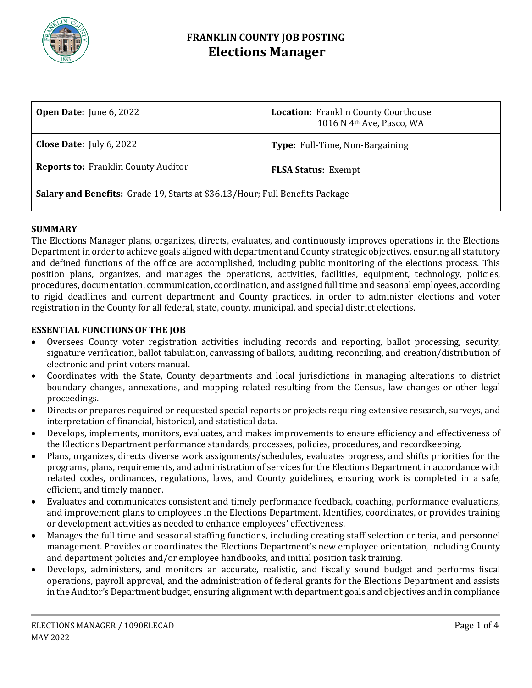

# **FRANKLIN COUNTY JOB POSTING Elections Manager**

| <b>Open Date:</b> June $6, 2022$                                                    | <b>Location: Franklin County Courthouse</b><br>1016 N 4th Ave, Pasco, WA |
|-------------------------------------------------------------------------------------|--------------------------------------------------------------------------|
| <b>Close Date:</b> July 6, 2022                                                     | Type: Full-Time, Non-Bargaining                                          |
| <b>Reports to: Franklin County Auditor</b>                                          | <b>FLSA Status: Exempt</b>                                               |
| <b>Salary and Benefits:</b> Grade 19, Starts at \$36.13/Hour; Full Benefits Package |                                                                          |

## **SUMMARY**

The Elections Manager plans, organizes, directs, evaluates, and continuously improves operations in the Elections Department in order to achieve goals aligned with department and County strategic objectives, ensuring all statutory and defined functions of the office are accomplished, including public monitoring of the elections process. This position plans, organizes, and manages the operations, activities, facilities, equipment, technology, policies, procedures, documentation, communication, coordination, and assigned full time and seasonal employees, according to rigid deadlines and current department and County practices, in order to administer elections and voter registration in the County for all federal, state, county, municipal, and special district elections.

#### **ESSENTIAL FUNCTIONS OF THE JOB**

- Oversees County voter registration activities including records and reporting, ballot processing, security, signature verification, ballot tabulation, canvassing of ballots, auditing, reconciling, and creation/distribution of electronic and print voters manual.
- Coordinates with the State, County departments and local jurisdictions in managing alterations to district boundary changes, annexations, and mapping related resulting from the Census, law changes or other legal proceedings.
- Directs or prepares required or requested special reports or projects requiring extensive research, surveys, and interpretation of financial, historical, and statistical data.
- Develops, implements, monitors, evaluates, and makes improvements to ensure efficiency and effectiveness of the Elections Department performance standards, processes, policies, procedures, and recordkeeping.
- Plans, organizes, directs diverse work assignments/schedules, evaluates progress, and shifts priorities for the programs, plans, requirements, and administration of services for the Elections Department in accordance with related codes, ordinances, regulations, laws, and County guidelines, ensuring work is completed in a safe, efficient, and timely manner.
- Evaluates and communicates consistent and timely performance feedback, coaching, performance evaluations, and improvement plans to employees in the Elections Department. Identifies, coordinates, or provides training or development activities as needed to enhance employees' effectiveness.
- Manages the full time and seasonal staffing functions, including creating staff selection criteria, and personnel management. Provides or coordinates the Elections Department's new employee orientation, including County and department policies and/or employee handbooks, and initial position task training.
- Develops, administers, and monitors an accurate, realistic, and fiscally sound budget and performs fiscal operations, payroll approval, and the administration of federal grants for the Elections Department and assists in the Auditor's Department budget, ensuring alignment with department goals and objectives and in compliance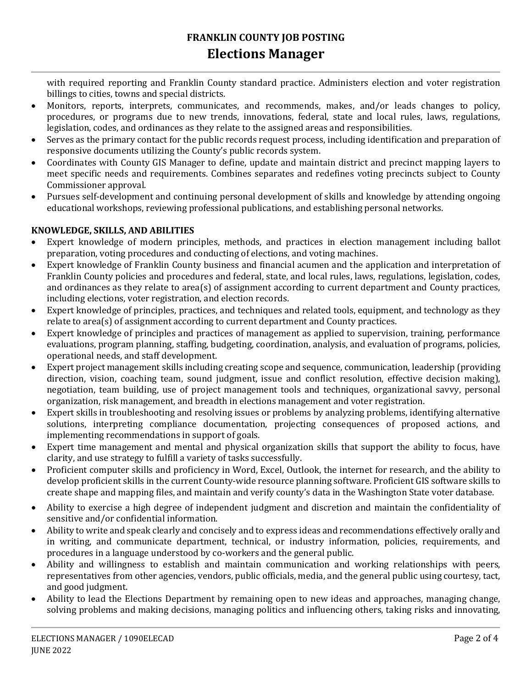with required reporting and Franklin County standard practice. Administers election and voter registration billings to cities, towns and special districts.

- Monitors, reports, interprets, communicates, and recommends, makes, and/or leads changes to policy, procedures, or programs due to new trends, innovations, federal, state and local rules, laws, regulations, legislation, codes, and ordinances as they relate to the assigned areas and responsibilities.
- Serves as the primary contact for the public records request process, including identification and preparation of responsive documents utilizing the County's public records system.
- Coordinates with County GIS Manager to define, update and maintain district and precinct mapping layers to meet specific needs and requirements. Combines separates and redefines voting precincts subject to County Commissioner approval.
- Pursues self-development and continuing personal development of skills and knowledge by attending ongoing educational workshops, reviewing professional publications, and establishing personal networks.

## **KNOWLEDGE, SKILLS, AND ABILITIES**

- Expert knowledge of modern principles, methods, and practices in election management including ballot preparation, voting procedures and conducting of elections, and voting machines.
- Expert knowledge of Franklin County business and financial acumen and the application and interpretation of Franklin County policies and procedures and federal, state, and local rules, laws, regulations, legislation, codes, and ordinances as they relate to area(s) of assignment according to current department and County practices, including elections, voter registration, and election records.
- Expert knowledge of principles, practices, and techniques and related tools, equipment, and technology as they relate to area(s) of assignment according to current department and County practices.
- Expert knowledge of principles and practices of management as applied to supervision, training, performance evaluations, program planning, staffing, budgeting, coordination, analysis, and evaluation of programs, policies, operational needs, and staff development.
- Expert project management skills including creating scope and sequence, communication, leadership (providing direction, vision, coaching team, sound judgment, issue and conflict resolution, effective decision making), negotiation, team building, use of project management tools and techniques, organizational savvy, personal organization, risk management, and breadth in elections management and voter registration.
- Expert skills in troubleshooting and resolving issues or problems by analyzing problems, identifying alternative solutions, interpreting compliance documentation, projecting consequences of proposed actions, and implementing recommendations in support of goals.
- Expert time management and mental and physical organization skills that support the ability to focus, have clarity, and use strategy to fulfill a variety of tasks successfully.
- Proficient computer skills and proficiency in Word, Excel, Outlook, the internet for research, and the ability to develop proficient skills in the current County-wide resource planning software. Proficient GIS software skills to create shape and mapping files, and maintain and verify county's data in the Washington State voter database.
- Ability to exercise a high degree of independent judgment and discretion and maintain the confidentiality of sensitive and/or confidential information.
- Ability to write and speak clearly and concisely and to express ideas and recommendations effectively orally and in writing, and communicate department, technical, or industry information, policies, requirements, and procedures in a language understood by co-workers and the general public.
- Ability and willingness to establish and maintain communication and working relationships with peers, representatives from other agencies, vendors, public officials, media, and the general public using courtesy, tact, and good judgment.
- Ability to lead the Elections Department by remaining open to new ideas and approaches, managing change, solving problems and making decisions, managing politics and influencing others, taking risks and innovating,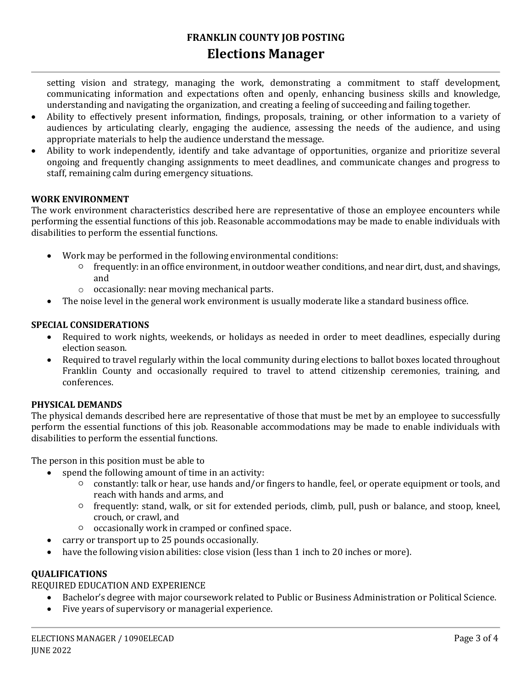# **FRANKLIN COUNTY JOB POSTING Elections Manager**

setting vision and strategy, managing the work, demonstrating a commitment to staff development, communicating information and expectations often and openly, enhancing business skills and knowledge, understanding and navigating the organization, and creating a feeling of succeeding and failing together.

- Ability to effectively present information, findings, proposals, training, or other information to a variety of audiences by articulating clearly, engaging the audience, assessing the needs of the audience, and using appropriate materials to help the audience understand the message.
- Ability to work independently, identify and take advantage of opportunities, organize and prioritize several ongoing and frequently changing assignments to meet deadlines, and communicate changes and progress to staff, remaining calm during emergency situations.

## **WORK ENVIRONMENT**

The work environment characteristics described here are representative of those an employee encounters while performing the essential functions of this job. Reasonable accommodations may be made to enable individuals with disabilities to perform the essential functions.

- Work may be performed in the following environmental conditions:
	- frequently: in an office environment, in outdoor weather conditions, and near dirt, dust, and shavings, and
	- o occasionally: near moving mechanical parts.
- The noise level in the general work environment is usually moderate like a standard business office.

#### **SPECIAL CONSIDERATIONS**

- Required to work nights, weekends, or holidays as needed in order to meet deadlines, especially during election season.
- Required to travel regularly within the local community during elections to ballot boxes located throughout Franklin County and occasionally required to travel to attend citizenship ceremonies, training, and conferences.

#### **PHYSICAL DEMANDS**

The physical demands described here are representative of those that must be met by an employee to successfully perform the essential functions of this job. Reasonable accommodations may be made to enable individuals with disabilities to perform the essential functions.

The person in this position must be able to

- spend the following amount of time in an activity:
	- constantly: talk or hear, use hands and/or fingers to handle, feel, or operate equipment or tools, and reach with hands and arms, and
	- frequently: stand, walk, or sit for extended periods, climb, pull, push or balance, and stoop, kneel, crouch, or crawl, and
	- occasionally work in cramped or confined space.
	- carry or transport up to 25 pounds occasionally.
- have the following vision abilities: close vision (less than 1 inch to 20 inches or more).

## **QUALIFICATIONS**

# REQUIRED EDUCATION AND EXPERIENCE

- Bachelor's degree with major coursework related to Public or Business Administration or Political Science.
- Five years of supervisory or managerial experience.